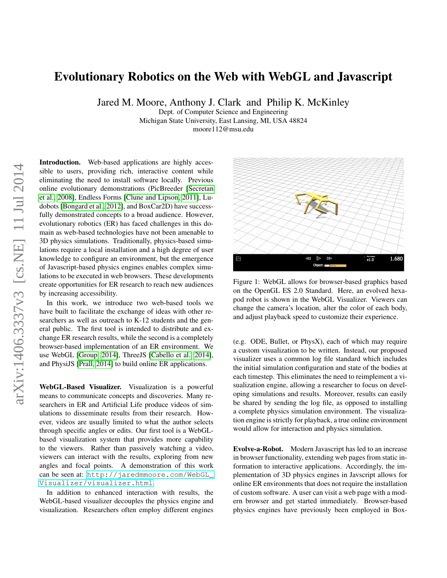## Evolutionary Robotics on the Web with WebGL and Javascript

Jared M. Moore, Anthony J. Clark and Philip K. McKinley

Dept. of Computer Science and Engineering Michigan State University, East Lansing, MI, USA 48824

moore112@msu.edu

Introduction. Web-based applications are highly accessible to users, providing rich, interactive content while eliminating the need to install software locally. Previous online evolutionary demonstrations (PicBreeder [\[Secretan](#page-1-0) [et al., 2008\]](#page-1-0), Endless Forms [\[Clune and Lipson, 2011\]](#page-1-1), Ludobots [\[Bongard et al., 2012\]](#page-1-2), and BoxCar2D) have successfully demonstrated concepts to a broad audience. However, evolutionary robotics (ER) has faced challenges in this domain as web-based technologies have not been amenable to 3D physics simulations. Traditionally, physics-based simulations require a local installation and a high degree of user knowledge to configure an environment, but the emergence of Javascript-based physics engines enables complex simulations to be executed in web browsers. These developments create opportunities for ER research to reach new audiences by increasing accessibility.

In this work, we introduce two web-based tools we have built to facilitate the exchange of ideas with other researchers as well as outreach to K-12 students and the general public. The first tool is intended to distribute and exchange ER research results, while the second is a completely browser-based implementation of an ER environment. We use WebGL [\[Group, 2014\]](#page-1-3), ThreeJS [\[Cabello et al., 2014\]](#page-1-4), and PhysiJS [\[Prall, 2014\]](#page-1-5) to build online ER applications.

WebGL-Based Visualizer. Visualization is a powerful means to communicate concepts and discoveries. Many researchers in ER and Artificial Life produce videos of simulations to disseminate results from their research. However, videos are usually limited to what the author selects through specific angles or edits. Our first tool is a WebGLbased visualization system that provides more capability to the viewers. Rather than passively watching a video, viewers can interact with the results, exploring from new angles and focal points. A demonstration of this work can be seen at: [http://jaredmmoore.com/WebGL\\_](http://jaredmmoore.com/WebGL_Visualizer/visualizer.html) [Visualizer/visualizer.html](http://jaredmmoore.com/WebGL_Visualizer/visualizer.html).

In addition to enhanced interaction with results, the WebGL-based visualizer decouples the physics engine and visualization. Researchers often employ different engines



Figure 1: WebGL allows for browser-based graphics based on the OpenGL ES 2.0 Standard. Here, an evolved hexapod robot is shown in the WebGL Visualizer. Viewers can change the camera's location, alter the color of each body, and adjust playback speed to customize their experience.

(e.g. ODE, Bullet, or PhysX), each of which may require a custom visualization to be written. Instead, our proposed visualizer uses a common log file standard which includes the initial simulation configuration and state of the bodies at each timestep. This eliminates the need to reimplement a visualization engine, allowing a researcher to focus on developing simulations and results. Moreover, results can easily be shared by sending the log file, as opposed to installing a complete physics simulation environment. The visualization engine is strictly for playback, a true online environment would allow for interaction and physics simulation.

Evolve-a-Robot. Modern Javascript has led to an increase in browser functionality, extending web pages from static information to interactive applications. Accordingly, the implementation of 3D physics engines in Javscript allows for online ER environments that does not require the installation of custom software. A user can visit a web page with a modern browser and get started immediately. Browser-based physics engines have previously been employed in Box